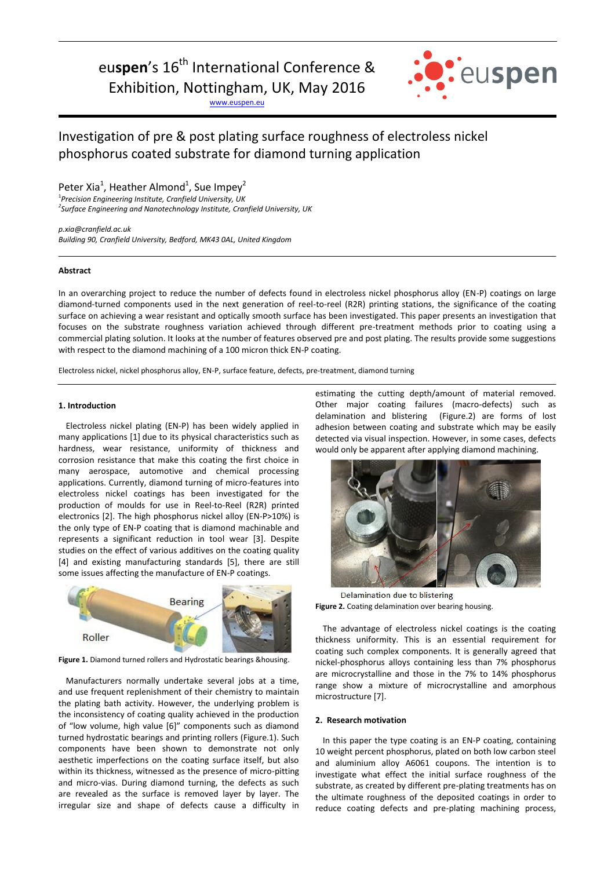euspen's 16<sup>th</sup> International Conference &

Exhibition, Nottingham, UK, May 2016

[www.euspen.eu](http://www.euspen.eu/)



# Investigation of pre & post plating surface roughness of electroless nickel phosphorus coated substrate for diamond turning application

Peter Xia<sup>1</sup>, Heather Almond<sup>1</sup>, Sue Impey<sup>2</sup>

1 *Precision Engineering Institute, Cranfield University, UK 2 Surface Engineering and Nanotechnology Institute, Cranfield University, UK*

*p.xia@cranfield.ac.uk Building 90, Cranfield University, Bedford, MK43 0AL, United Kingdom*

## **Abstract**

In an overarching project to reduce the number of defects found in electroless nickel phosphorus alloy (EN-P) coatings on large diamond-turned components used in the next generation of reel-to-reel (R2R) printing stations, the significance of the coating surface on achieving a wear resistant and optically smooth surface has been investigated. This paper presents an investigation that focuses on the substrate roughness variation achieved through different pre-treatment methods prior to coating using a commercial plating solution. It looks at the number of features observed pre and post plating. The results provide some suggestions with respect to the diamond machining of a 100 micron thick EN-P coating.

Electroless nickel, nickel phosphorus alloy, EN-P, surface feature, defects, pre-treatment, diamond turning

#### **1. Introduction**

Electroless nickel plating (EN-P) has been widely applied in many applications [1] due to its physical characteristics such as hardness, wear resistance, uniformity of thickness and corrosion resistance that make this coating the first choice in many aerospace, automotive and chemical processing applications. Currently, diamond turning of micro-features into electroless nickel coatings has been investigated for the production of moulds for use in Reel-to-Reel (R2R) printed electronics [2]. The high phosphorus nickel alloy (EN-P>10%) is the only type of EN-P coating that is diamond machinable and represents a significant reduction in tool wear [3]. Despite studies on the effect of various additives on the coating quality [4] and existing manufacturing standards [5], there are still some issues affecting the manufacture of EN-P coatings.



**Figure 1.** Diamond turned rollers and Hydrostatic bearings &housing.

Manufacturers normally undertake several jobs at a time, and use frequent replenishment of their chemistry to maintain the plating bath activity. However, the underlying problem is the inconsistency of coating quality achieved in the production of "low volume, high value [6]" components such as diamond turned hydrostatic bearings and printing rollers (Figure.1). Such components have been shown to demonstrate not only aesthetic imperfections on the coating surface itself, but also within its thickness, witnessed as the presence of micro-pitting and micro-vias. During diamond turning, the defects as such are revealed as the surface is removed layer by layer. The irregular size and shape of defects cause a difficulty in estimating the cutting depth/amount of material removed. Other major coating failures (macro-defects) such as delamination and blistering (Figure.2) are forms of lost adhesion between coating and substrate which may be easily detected via visual inspection. However, in some cases, defects would only be apparent after applying diamond machining.



Delamination due to blistering **Figure 2.** Coating delamination over bearing housing.

The advantage of electroless nickel coatings is the coating thickness uniformity. This is an essential requirement for coating such complex components. It is generally agreed that nickel-phosphorus alloys containing less than 7% phosphorus are microcrystalline and those in the 7% to 14% phosphorus range show a mixture of microcrystalline and amorphous microstructure [7].

#### **2. Research motivation**

In this paper the type coating is an EN-P coating, containing 10 weight percent phosphorus, plated on both low carbon steel and aluminium alloy A6061 coupons. The intention is to investigate what effect the initial surface roughness of the substrate, as created by different pre-plating treatments has on the ultimate roughness of the deposited coatings in order to reduce coating defects and pre-plating machining process,